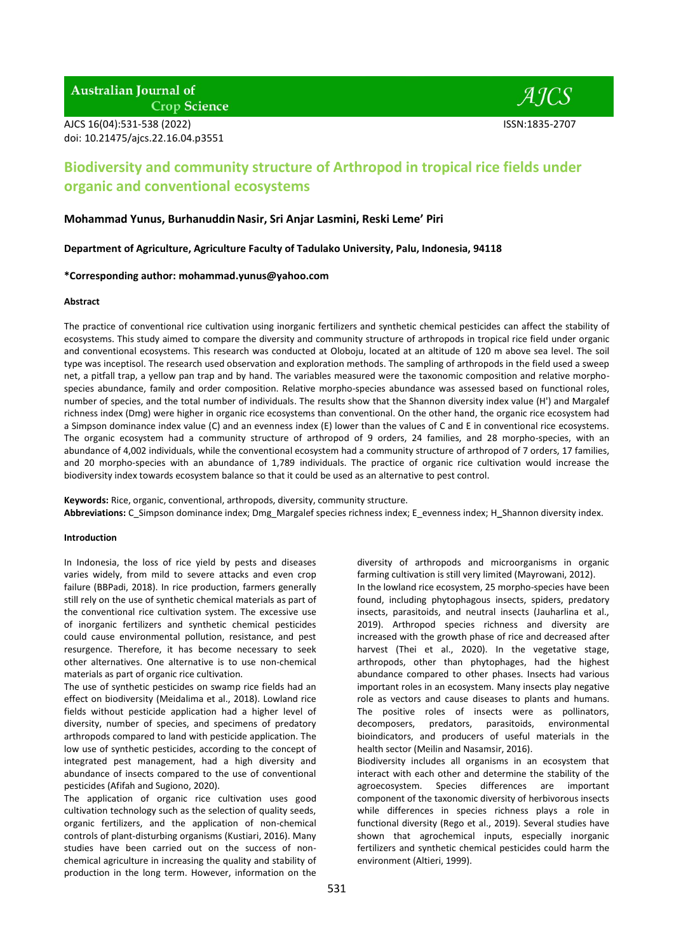**Australian Journal of Crop Science** 

AJCS 16(04):531-538 (2022) ISSN:1835-2707 doi: 10.21475/ajcs.22.16.04.p3551



# **Biodiversity and community structure of Arthropod in tropical rice fields under organic and conventional ecosystems**

## **Mohammad Yunus, BurhanuddinNasir, Sri Anjar Lasmini, Reski Leme' Piri**

**Department of Agriculture, Agriculture Faculty of Tadulako University, Palu, Indonesia, 94118** 

## **\*Corresponding author: [mohammad.yunus@yahoo.com](mailto:mohammad.yunus@yahoo.com)**

### **Abstract**

The practice of conventional rice cultivation using inorganic fertilizers and synthetic chemical pesticides can affect the stability of ecosystems. This study aimed to compare the diversity and community structure of arthropods in tropical rice field under organic and conventional ecosystems. This research was conducted at Oloboju, located at an altitude of 120 m above sea level. The soil type was inceptisol. The research used observation and exploration methods. The sampling of arthropods in the field used a sweep net, a pitfall trap, a yellow pan trap and by hand. The variables measured were the taxonomic composition and relative morphospecies abundance, family and order composition. Relative morpho-species abundance was assessed based on functional roles, number of species, and the total number of individuals. The results show that the Shannon diversity index value (H') and Margalef richness index (Dmg) were higher in organic rice ecosystems than conventional. On the other hand, the organic rice ecosystem had a Simpson dominance index value (C) and an evenness index (E) lower than the values of C and E in conventional rice ecosystems. The organic ecosystem had a community structure of arthropod of 9 orders, 24 families, and 28 morpho-species, with an abundance of 4,002 individuals, while the conventional ecosystem had a community structure of arthropod of 7 orders, 17 families, and 20 morpho-species with an abundance of 1,789 individuals. The practice of organic rice cultivation would increase the biodiversity index towards ecosystem balance so that it could be used as an alternative to pest control.

**Keywords:** Rice, organic, conventional, arthropods, diversity, community structure. **Abbreviations:** C\_Simpson dominance index; Dmg\_Margalef species richness index; E\_evenness index; H**\_**Shannon diversity index.

#### **Introduction**

In Indonesia, the loss of rice yield by pests and diseases varies widely, from mild to severe attacks and even crop failure (BBPadi, 2018). In rice production, farmers generally still rely on the use of synthetic chemical materials as part of the conventional rice cultivation system. The excessive use of inorganic fertilizers and synthetic chemical pesticides could cause environmental pollution, resistance, and pest resurgence. Therefore, it has become necessary to seek other alternatives. One alternative is to use non-chemical materials as part of organic rice cultivation.

The use of synthetic pesticides on swamp rice fields had an effect on biodiversity (Meidalima et al., 2018). Lowland rice fields without pesticide application had a higher level of diversity, number of species, and specimens of predatory arthropods compared to land with pesticide application. The low use of synthetic pesticides, according to the concept of integrated pest management, had a high diversity and abundance of insects compared to the use of conventional pesticides (Afifah and Sugiono, 2020).

The application of organic rice cultivation uses good cultivation technology such as the selection of quality seeds, organic fertilizers, and the application of non-chemical controls of plant-disturbing organisms (Kustiari, 2016). Many studies have been carried out on the success of nonchemical agriculture in increasing the quality and stability of production in the long term. However, information on the

diversity of arthropods and microorganisms in organic farming cultivation is still very limited (Mayrowani, 2012).

In the lowland rice ecosystem, 25 morpho-species have been found, including phytophagous insects, spiders, predatory insects, parasitoids, and neutral insects (Jauharlina et al., 2019). Arthropod species richness and diversity are increased with the growth phase of rice and decreased after harvest (Thei et al., 2020). In the vegetative stage, arthropods, other than phytophages, had the highest abundance compared to other phases. Insects had various important roles in an ecosystem. Many insects play negative role as vectors and cause diseases to plants and humans. The positive roles of insects were as pollinators, decomposers, predators, parasitoids, environmental bioindicators, and producers of useful materials in the health sector (Meilin and Nasamsir, 2016). Biodiversity includes all organisms in an ecosystem that

interact with each other and determine the stability of the agroecosystem. Species differences are important component of the taxonomic diversity of herbivorous insects while differences in species richness plays a role in functional diversity (Rego et al., 2019). Several studies have shown that agrochemical inputs, especially inorganic fertilizers and synthetic chemical pesticides could harm the environment (Altieri, 1999).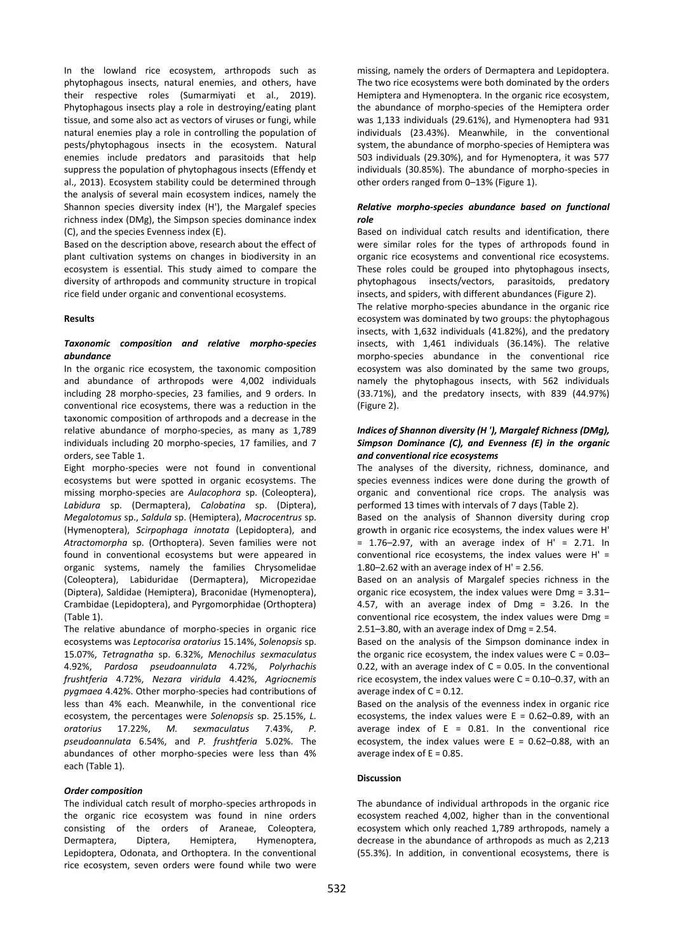In the lowland rice ecosystem, arthropods such as phytophagous insects, natural enemies, and others, have their respective roles (Sumarmiyati et al., 2019). Phytophagous insects play a role in destroying/eating plant tissue, and some also act as vectors of viruses or fungi, while natural enemies play a role in controlling the population of pests/phytophagous insects in the ecosystem. Natural enemies include predators and parasitoids that help suppress the population of phytophagous insects (Effendy et al., 2013). Ecosystem stability could be determined through the analysis of several main ecosystem indices, namely the Shannon species diversity index (H'), the Margalef species richness index (DMg), the Simpson species dominance index (C), and the species Evenness index (E).

Based on the description above, research about the effect of plant cultivation systems on changes in biodiversity in an ecosystem is essential. This study aimed to compare the diversity of arthropods and community structure in tropical rice field under organic and conventional ecosystems.

### **Results**

## *Taxonomic composition and relative morpho-species abundance*

In the organic rice ecosystem, the taxonomic composition and abundance of arthropods were 4,002 individuals including 28 morpho-species, 23 families, and 9 orders. In conventional rice ecosystems, there was a reduction in the taxonomic composition of arthropods and a decrease in the relative abundance of morpho-species, as many as 1,789 individuals including 20 morpho-species, 17 families, and 7 orders, see Table 1.

Eight morpho-species were not found in conventional ecosystems but were spotted in organic ecosystems. The missing morpho-species are *Aulacophora* sp. (Coleoptera), *Labidura* sp. (Dermaptera), *Calobatina* sp. (Diptera), *Megalotomus* sp., *Saldula* sp. (Hemiptera), *Macrocentrus* sp. (Hymenoptera), *Scirpophaga innotata* (Lepidoptera), and *Atractomorpha* sp. (Orthoptera). Seven families were not found in conventional ecosystems but were appeared in organic systems, namely the families Chrysomelidae (Coleoptera), Labiduridae (Dermaptera), Micropezidae (Diptera), Saldidae (Hemiptera), Braconidae (Hymenoptera), Crambidae (Lepidoptera), and Pyrgomorphidae (Orthoptera) (Table 1).

The relative abundance of morpho-species in organic rice ecosystems was *Leptocorisa oratorius* 15.14%, *Solenopsis* sp. 15.07%, *Tetragnatha* sp. 6.32%, *Menochilus sexmaculatus* 4.92%, *Pardosa pseudoannulata* 4.72%, *Polyrhachis frushtferia* 4.72%, *Nezara viridula* 4.42%, *Agriocnemis pygmaea* 4.42%. Other morpho-species had contributions of less than 4% each. Meanwhile, in the conventional rice ecosystem, the percentages were *Solenopsis* sp. 25.15%, *L. oratorius* 17.22%, *M. sexmaculatus* 7.43%, *P. pseudoannulata* 6.54%, and *P. frushtferia* 5.02%. The abundances of other morpho-species were less than 4% each (Table 1).

## *Order composition*

The individual catch result of morpho-species arthropods in the organic rice ecosystem was found in nine orders consisting of the orders of Araneae, Coleoptera, Dermaptera, Diptera, Hemiptera, Hymenoptera, Lepidoptera, Odonata, and Orthoptera. In the conventional rice ecosystem, seven orders were found while two were missing, namely the orders of Dermaptera and Lepidoptera. The two rice ecosystems were both dominated by the orders Hemiptera and Hymenoptera. In the organic rice ecosystem, the abundance of morpho-species of the Hemiptera order was 1,133 individuals (29.61%), and Hymenoptera had 931 individuals (23.43%). Meanwhile, in the conventional system, the abundance of morpho-species of Hemiptera was 503 individuals (29.30%), and for Hymenoptera, it was 577 individuals (30.85%). The abundance of morpho-species in other orders ranged from 0–13% (Figure 1).

## *Relative morpho-species abundance based on functional role*

Based on individual catch results and identification, there were similar roles for the types of arthropods found in organic rice ecosystems and conventional rice ecosystems. These roles could be grouped into phytophagous insects, phytophagous insects/vectors, parasitoids, predatory insects, and spiders, with different abundances (Figure 2).

The relative morpho-species abundance in the organic rice ecosystem was dominated by two groups: the phytophagous insects, with 1,632 individuals (41.82%), and the predatory insects, with 1,461 individuals (36.14%). The relative morpho-species abundance in the conventional rice ecosystem was also dominated by the same two groups, namely the phytophagous insects, with 562 individuals (33.71%), and the predatory insects, with 839 (44.97%) (Figure 2).

## *Indices of Shannon diversity (H '), Margalef Richness (DMg), Simpson Dominance (C), and Evenness (E) in the organic and conventional rice ecosystems*

The analyses of the diversity, richness, dominance, and species evenness indices were done during the growth of organic and conventional rice crops. The analysis was performed 13 times with intervals of 7 days (Table 2).

Based on the analysis of Shannon diversity during crop growth in organic rice ecosystems, the index values were H'  $= 1.76 - 2.97$ , with an average index of H' = 2.71. In conventional rice ecosystems, the index values were H' = 1.80–2.62 with an average index of  $H' = 2.56$ .

Based on an analysis of Margalef species richness in the organic rice ecosystem, the index values were Dmg = 3.31– 4.57, with an average index of Dmg = 3.26. In the conventional rice ecosystem, the index values were Dmg = 2.51–3.80, with an average index of Dmg = 2.54.

Based on the analysis of the Simpson dominance index in the organic rice ecosystem, the index values were  $C = 0.03$ -0.22, with an average index of  $C = 0.05$ . In the conventional rice ecosystem, the index values were  $C = 0.10 - 0.37$ , with an average index of  $C = 0.12$ .

Based on the analysis of the evenness index in organic rice ecosystems, the index values were  $E = 0.62 - 0.89$ , with an average index of  $E = 0.81$ . In the conventional rice ecosystem, the index values were  $E = 0.62 - 0.88$ , with an average index of  $E = 0.85$ .

# **Discussion**

The abundance of individual arthropods in the organic rice ecosystem reached 4,002, higher than in the conventional ecosystem which only reached 1,789 arthropods, namely a decrease in the abundance of arthropods as much as 2,213 (55.3%). In addition, in conventional ecosystems, there is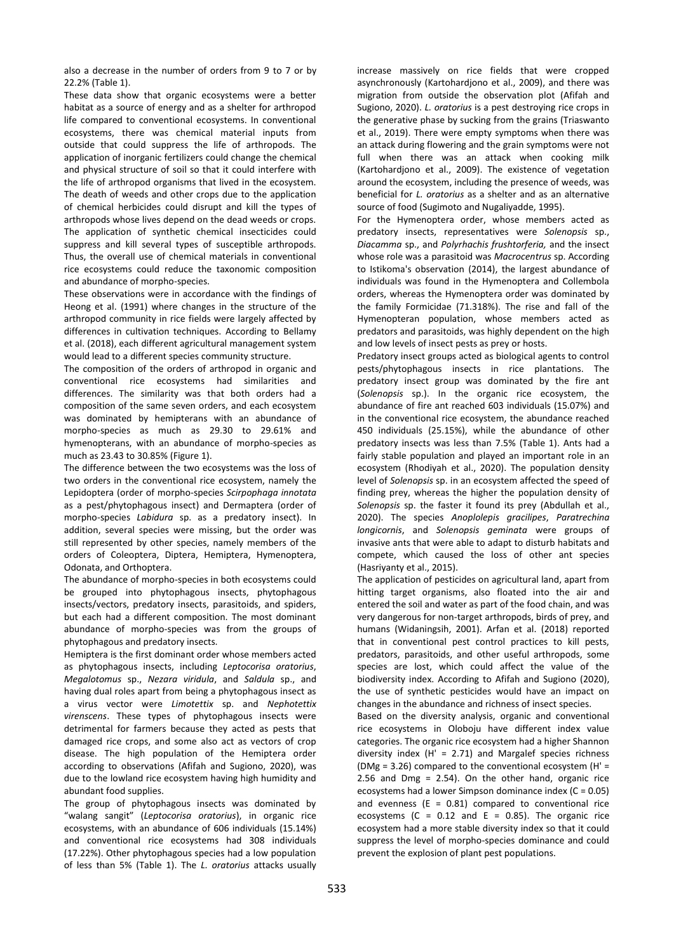also a decrease in the number of orders from 9 to 7 or by 22.2% (Table 1).

These data show that organic ecosystems were a better habitat as a source of energy and as a shelter for arthropod life compared to conventional ecosystems. In conventional ecosystems, there was chemical material inputs from outside that could suppress the life of arthropods. The application of inorganic fertilizers could change the chemical and physical structure of soil so that it could interfere with the life of arthropod organisms that lived in the ecosystem. The death of weeds and other crops due to the application of chemical herbicides could disrupt and kill the types of arthropods whose lives depend on the dead weeds or crops. The application of synthetic chemical insecticides could suppress and kill several types of susceptible arthropods. Thus, the overall use of chemical materials in conventional rice ecosystems could reduce the taxonomic composition and abundance of morpho-species.

These observations were in accordance with the findings of Heong et al. (1991) where changes in the structure of the arthropod community in rice fields were largely affected by differences in cultivation techniques. According to Bellamy et al. (2018), each different agricultural management system would lead to a different species community structure.

The composition of the orders of arthropod in organic and conventional rice ecosystems had similarities and differences. The similarity was that both orders had a composition of the same seven orders, and each ecosystem was dominated by hemipterans with an abundance of morpho-species as much as 29.30 to 29.61% and hymenopterans, with an abundance of morpho-species as much as 23.43 to 30.85% (Figure 1).

The difference between the two ecosystems was the loss of two orders in the conventional rice ecosystem, namely the Lepidoptera (order of morpho-species *Scirpophaga innotata* as a pest/phytophagous insect) and Dermaptera (order of morpho-species *Labidura* sp. as a predatory insect). In addition, several species were missing, but the order was still represented by other species, namely members of the orders of Coleoptera, Diptera, Hemiptera, Hymenoptera, Odonata, and Orthoptera.

The abundance of morpho-species in both ecosystems could be grouped into phytophagous insects, phytophagous insects/vectors, predatory insects, parasitoids, and spiders, but each had a different composition. The most dominant abundance of morpho-species was from the groups of phytophagous and predatory insects.

Hemiptera is the first dominant order whose members acted as phytophagous insects, including *Leptocorisa oratorius*, *Megalotomus* sp., *Nezara viridula*, and *Saldula* sp., and having dual roles apart from being a phytophagous insect as a virus vector were *Limotettix* sp. and *Nephotettix virenscens*. These types of phytophagous insects were detrimental for farmers because they acted as pests that damaged rice crops, and some also act as vectors of crop disease. The high population of the Hemiptera order according to observations (Afifah and Sugiono, 2020), was due to the lowland rice ecosystem having high humidity and abundant food supplies.

The group of phytophagous insects was dominated by "walang sangit" (*Leptocorisa oratorius*), in organic rice ecosystems, with an abundance of 606 individuals (15.14%) and conventional rice ecosystems had 308 individuals (17.22%). Other phytophagous species had a low population of less than 5% (Table 1). The *L. oratorius* attacks usually

increase massively on rice fields that were cropped asynchronously (Kartohardjono et al., 2009), and there was migration from outside the observation plot (Afifah and Sugiono, 2020). *L. oratorius* is a pest destroying rice crops in the generative phase by sucking from the grains (Triaswanto et al., 2019). There were empty symptoms when there was an attack during flowering and the grain symptoms were not full when there was an attack when cooking milk (Kartohardjono et al., 2009). The existence of vegetation around the ecosystem, including the presence of weeds, was beneficial for *L. oratorius* as a shelter and as an alternative source of food (Sugimoto and Nugaliyadde, 1995).

For the Hymenoptera order, whose members acted as predatory insects, representatives were *Solenopsis* sp., *Diacamma* sp., and *Polyrhachis frushtorferia,* and the insect whose role was a parasitoid was *Macrocentrus* sp. According to Istikoma's observation (2014), the largest abundance of individuals was found in the Hymenoptera and Collembola orders, whereas the Hymenoptera order was dominated by the family Formicidae (71.318%). The rise and fall of the Hymenopteran population, whose members acted as predators and parasitoids, was highly dependent on the high and low levels of insect pests as prey or hosts.

Predatory insect groups acted as biological agents to control pests/phytophagous insects in rice plantations. The predatory insect group was dominated by the fire ant (*Solenopsis* sp.). In the organic rice ecosystem, the abundance of fire ant reached 603 individuals (15.07%) and in the conventional rice ecosystem, the abundance reached 450 individuals (25.15%), while the abundance of other predatory insects was less than 7.5% (Table 1). Ants had a fairly stable population and played an important role in an ecosystem (Rhodiyah et al., 2020). The population density level of *Solenopsis* sp. in an ecosystem affected the speed of finding prey, whereas the higher the population density of *Solenopsis* sp. the faster it found its prey (Abdullah et al., 2020). The species *Anoplolepis gracilipes*, *Paratrechina longicornis*, and *Solenopsis geminata* were groups of invasive ants that were able to adapt to disturb habitats and compete, which caused the loss of other ant species (Hasriyanty et al., 2015).

The application of pesticides on agricultural land, apart from hitting target organisms, also floated into the air and entered the soil and water as part of the food chain, and was very dangerous for non-target arthropods, birds of prey, and humans (Widaningsih, 2001). Arfan et al. (2018) reported that in conventional pest control practices to kill pests, predators, parasitoids, and other useful arthropods, some species are lost, which could affect the value of the biodiversity index. According to Afifah and Sugiono (2020), the use of synthetic pesticides would have an impact on changes in the abundance and richness of insect species.

Based on the diversity analysis, organic and conventional rice ecosystems in Oloboju have different index value categories. The organic rice ecosystem had a higher Shannon diversity index (H' = 2.71) and Margalef species richness (DMg = 3.26) compared to the conventional ecosystem (H' = 2.56 and Dmg = 2.54). On the other hand, organic rice ecosystems had a lower Simpson dominance index (C = 0.05) and evenness ( $E = 0.81$ ) compared to conventional rice ecosystems (C =  $0.12$  and E = 0.85). The organic rice ecosystem had a more stable diversity index so that it could suppress the level of morpho-species dominance and could prevent the explosion of plant pest populations.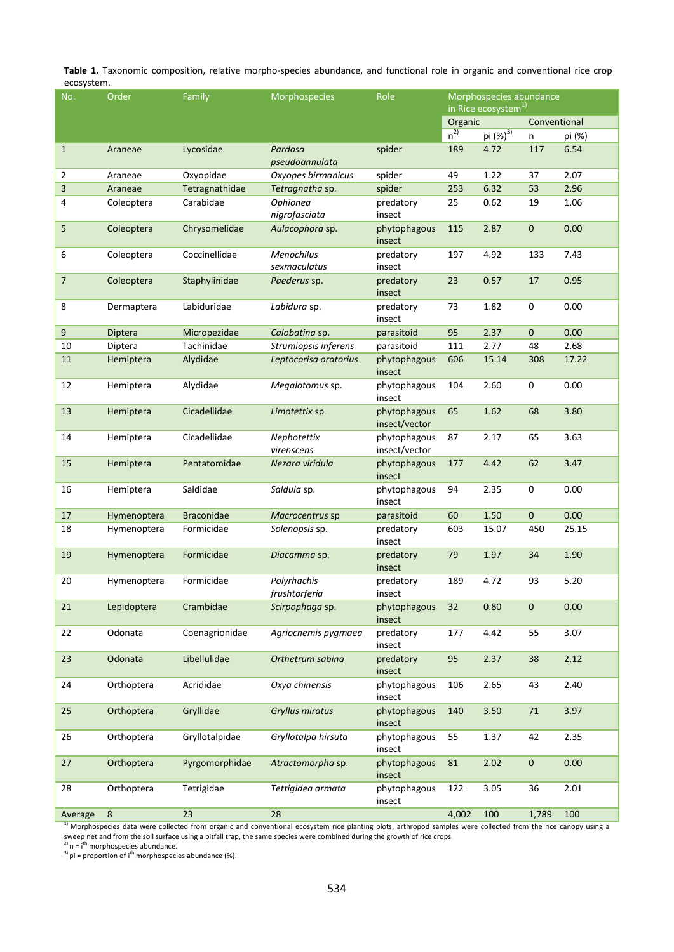**Table 1.** Taxonomic composition, relative morpho-species abundance, and functional role in organic and conventional rice crop ecosystem.

| No.                      | Order            | Family            | Morphospecies                     | Role                          | Morphospecies abundance<br>in Rice ecosystem <sup>1)</sup> |            |              |        |
|--------------------------|------------------|-------------------|-----------------------------------|-------------------------------|------------------------------------------------------------|------------|--------------|--------|
|                          |                  |                   |                                   |                               | Organic<br>$n^{2)}$<br>pi (%) <sup>3)</sup>                |            | Conventional |        |
|                          |                  |                   |                                   |                               |                                                            |            | n            | pi (%) |
| $\mathbf{1}$             | Araneae          | Lycosidae         | Pardosa                           | spider                        | 189                                                        | 4.72       | 117          | 6.54   |
|                          |                  |                   | pseudoannulata                    |                               |                                                            |            |              |        |
| $\overline{2}$           | Araneae          | Oxyopidae         | Oxyopes birmanicus                | spider                        | 49                                                         | 1.22       | 37           | 2.07   |
| 3                        | Araneae          | Tetragnathidae    | Tetragnatha sp.                   | spider                        | 253                                                        | 6.32<br>53 |              | 2.96   |
| 4                        | Coleoptera       | Carabidae         | Ophionea                          | predatory                     | 25                                                         | 0.62       | 19           | 1.06   |
|                          |                  |                   | nigrofasciata                     | insect                        |                                                            |            |              |        |
| 5                        | Coleoptera       | Chrysomelidae     | Aulacophora sp.                   | phytophagous<br>insect        | 2.87<br>115                                                |            | 0            | 0.00   |
| 6                        | Coleoptera       | Coccinellidae     | <b>Menochilus</b><br>sexmaculatus | predatory<br>insect           | 4.92<br>197                                                |            | 133          | 7.43   |
| $\overline{\phantom{a}}$ | Coleoptera       | Staphylinidae     | Paederus sp.                      | predatory<br>insect           | 23<br>0.57                                                 |            | 17           | 0.95   |
| 8                        | Dermaptera       | Labiduridae       | Labidura sp.                      | predatory<br>insect           | 1.82<br>73                                                 |            | 0            | 0.00   |
| 9                        | Diptera          | Micropezidae      | Calobatina sp.                    | parasitoid                    | 95<br>2.37                                                 |            | 0            | 0.00   |
| 10                       | Diptera          | Tachinidae        | Strumiopsis inferens              | parasitoid                    | 111                                                        | 2.77       | 48           | 2.68   |
| 11                       | Hemiptera        | Alydidae          | Leptocorisa oratorius             | phytophagous<br>insect        | 606<br>15.14                                               |            | 308          | 17.22  |
| 12                       | Hemiptera        | Alydidae          | Megalotomus sp.                   | phytophagous<br>insect        | 104<br>2.60                                                |            | 0            | 0.00   |
| 13                       | Hemiptera        | Cicadellidae      | Limotettix sp.                    | phytophagous<br>insect/vector | 65<br>1.62                                                 |            | 68           | 3.80   |
| 14                       | Hemiptera        | Cicadellidae      | Nephotettix<br>virenscens         | phytophagous<br>insect/vector | 87                                                         | 2.17       | 65           | 3.63   |
| 15                       | Hemiptera        | Pentatomidae      | Nezara viridula                   | phytophagous<br>insect        | 177                                                        | 4.42       | 62           | 3.47   |
| 16                       | Hemiptera        | Saldidae          | Saldula sp.                       | phytophagous<br>insect        | 94                                                         | 2.35       | 0            | 0.00   |
| 17                       | Hymenoptera      | <b>Braconidae</b> | Macrocentrus sp                   | parasitoid                    | 60                                                         | 1.50       | 0            | 0.00   |
| 18                       | Hymenoptera      | Formicidae        | Solenopsis sp.                    | predatory<br>insect           | 603                                                        | 15.07      | 450          | 25.15  |
| 19                       | Hymenoptera      | Formicidae        | Diacamma sp.                      | predatory<br>insect           | 79                                                         | 1.97       | 34           | 1.90   |
| 20                       | Hymenoptera      | Formicidae        | Polyrhachis<br>frushtorferia      | predatory<br>insect           | 189                                                        | 4.72       | 93           | 5.20   |
| 21                       | Lepidoptera      | Crambidae         | Scirpophaga sp.                   | phytophagous<br>insect        | 32                                                         | 0.80       | 0            | 0.00   |
| 22                       | Odonata          | Coenagrionidae    | Agriocnemis pygmaea               | predatory<br>insect           | 177                                                        | 4.42       | 55           | 3.07   |
| 23                       | Odonata          | Libellulidae      | Orthetrum sabina                  | 95<br>predatory<br>insect     |                                                            | 2.37       | 38           | 2.12   |
| 24                       | Orthoptera       | Acrididae         | Oxya chinensis                    | phytophagous<br>insect        | 106                                                        | 2.65       | 43           | 2.40   |
| 25                       | Orthoptera       | Gryllidae         | Gryllus miratus                   | phytophagous<br>insect        | 140                                                        | 3.50       | $71\,$       | 3.97   |
| 26                       | Orthoptera       | Gryllotalpidae    | Gryllotalpa hirsuta               | phytophagous<br>insect        | 55                                                         | 1.37       | 42           | 2.35   |
| 27                       | Orthoptera       | Pyrgomorphidae    | Atractomorpha sp.                 | phytophagous<br>insect        | 81                                                         | 2.02       | 0            | 0.00   |
| 28                       | Orthoptera       | Tetrigidae        | Tettigidea armata                 | phytophagous<br>insect        | 122                                                        | 3.05       | 36           | 2.01   |
| Average                  | $\boldsymbol{8}$ | 23                | 28                                |                               | 4,002                                                      | 100        | 1,789        | 100    |

<sup>1)</sup> Morphospecies data were collected from organic and conventional ecosystem rice planting plots, arthropod samples were collected from the rice canopy using a sweep net and from the soil surface using a pitfall trap, the same species were combined during the growth of rice crops.<br><sup>2)</sup> n = i<sup>th</sup> morphospecies abundance.

 $3$ ) pi = proportion of i<sup>th</sup> morphospecies abundance (%).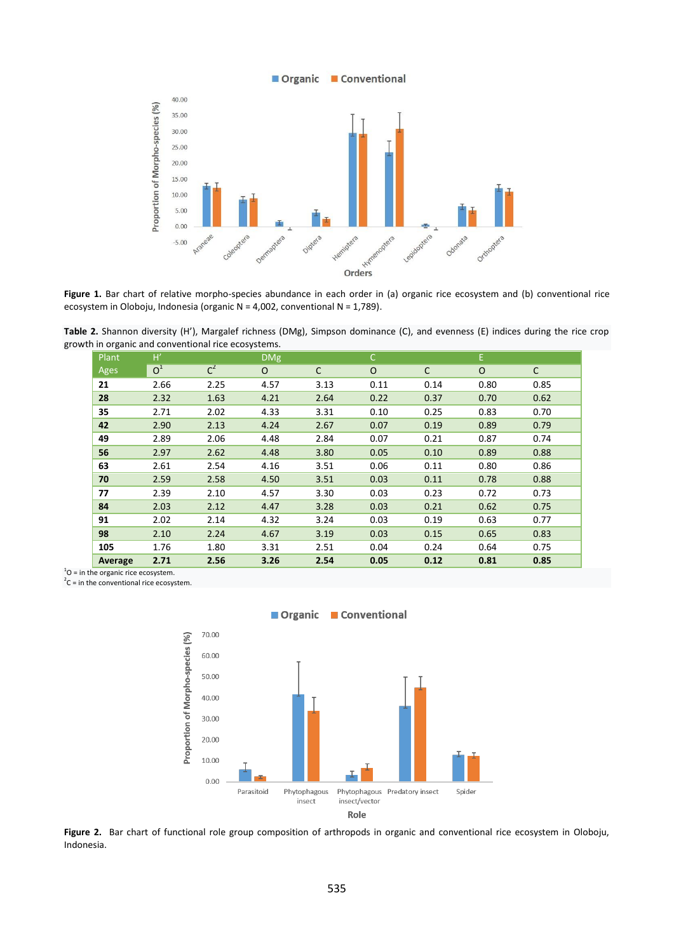

Figure 1. Bar chart of relative morpho-species abundance in each order in (a) organic rice ecosystem and (b) conventional rice ecosystem in Oloboju, Indonesia (organic N = 4,002, conventional N = 1,789).

**Table 2.** Shannon diversity (H'), Margalef richness (DMg), Simpson dominance (C), and evenness (E) indices during the rice crop growth in organic and conventional rice ecosystems.

| Plant   | H'             |       | <b>DMg</b> |              | $\mathsf{C}$ |      | E.       |              |
|---------|----------------|-------|------------|--------------|--------------|------|----------|--------------|
| Ages    | O <sup>1</sup> | $C^2$ | $\Omega$   | $\mathsf{C}$ | $\Omega$     | C    | $\Omega$ | $\mathsf{C}$ |
| 21      | 2.66           | 2.25  | 4.57       | 3.13         | 0.11         | 0.14 | 0.80     | 0.85         |
| 28      | 2.32           | 1.63  | 4.21       | 2.64         | 0.22         | 0.37 | 0.70     | 0.62         |
| 35      | 2.71           | 2.02  | 4.33       | 3.31         | 0.10         | 0.25 | 0.83     | 0.70         |
| 42      | 2.90           | 2.13  | 4.24       | 2.67         | 0.07         | 0.19 | 0.89     | 0.79         |
| 49      | 2.89           | 2.06  | 4.48       | 2.84         | 0.07         | 0.21 | 0.87     | 0.74         |
| 56      | 2.97           | 2.62  | 4.48       | 3.80         | 0.05         | 0.10 | 0.89     | 0.88         |
| 63      | 2.61           | 2.54  | 4.16       | 3.51         | 0.06         | 0.11 | 0.80     | 0.86         |
| 70      | 2.59           | 2.58  | 4.50       | 3.51         | 0.03         | 0.11 | 0.78     | 0.88         |
| 77      | 2.39           | 2.10  | 4.57       | 3.30         | 0.03         | 0.23 | 0.72     | 0.73         |
| 84      | 2.03           | 2.12  | 4.47       | 3.28         | 0.03         | 0.21 | 0.62     | 0.75         |
| 91      | 2.02           | 2.14  | 4.32       | 3.24         | 0.03         | 0.19 | 0.63     | 0.77         |
| 98      | 2.10           | 2.24  | 4.67       | 3.19         | 0.03         | 0.15 | 0.65     | 0.83         |
| 105     | 1.76           | 1.80  | 3.31       | 2.51         | 0.04         | 0.24 | 0.64     | 0.75         |
| Average | 2.71           | 2.56  | 3.26       | 2.54         | 0.05         | 0.12 | 0.81     | 0.85         |

 $10$  = in the organic rice ecosystem.

 ${}^{2}C$  = in the conventional rice ecosystem.



Organic Conventional

**Figure 2.** Bar chart of functional role group composition of arthropods in organic and conventional rice ecosystem in Oloboju, Indonesia.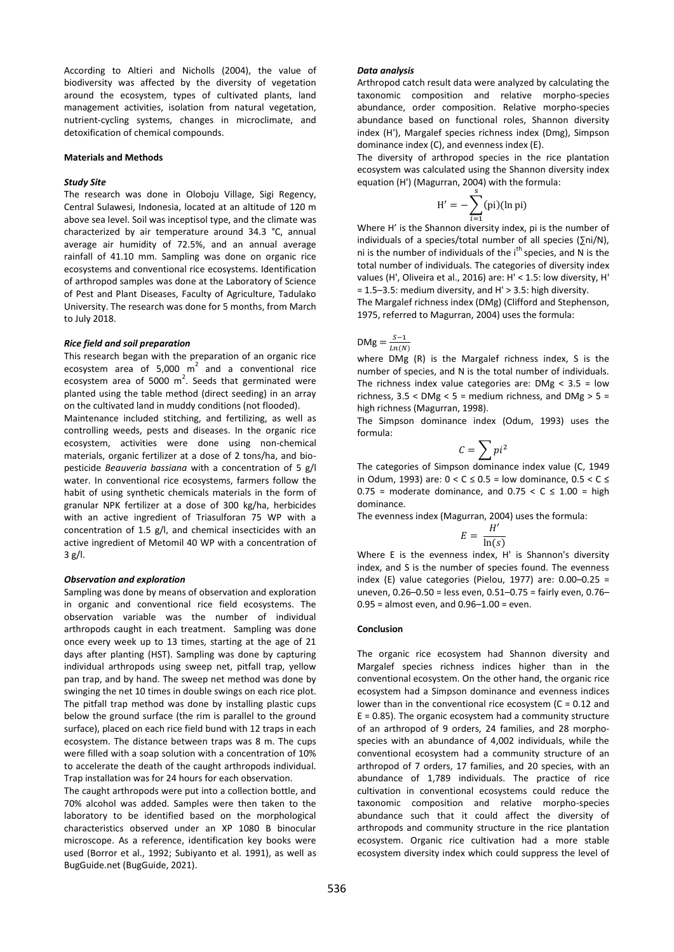According to Altieri and Nicholls (2004), the value of biodiversity was affected by the diversity of vegetation around the ecosystem, types of cultivated plants, land management activities, isolation from natural vegetation, nutrient-cycling systems, changes in microclimate, and detoxification of chemical compounds.

#### **Materials and Methods**

#### *Study Site*

The research was done in Oloboju Village, Sigi Regency, Central Sulawesi, Indonesia, located at an altitude of 120 m above sea level. Soil was inceptisol type, and the climate was characterized by air temperature around 34.3 °C, annual average air humidity of 72.5%, and an annual average rainfall of 41.10 mm. Sampling was done on organic rice ecosystems and conventional rice ecosystems. Identification of arthropod samples was done at the Laboratory of Science of Pest and Plant Diseases, Faculty of Agriculture, Tadulako University. The research was done for 5 months, from March to July 2018.

#### *Rice field and soil preparation*

This research began with the preparation of an organic rice ecosystem area of 5,000  $m^2$  and a conventional rice ecosystem area of 5000  $m^2$ . Seeds that germinated were planted using the table method (direct seeding) in an array on the cultivated land in muddy conditions (not flooded).

Maintenance included stitching, and fertilizing, as well as controlling weeds, pests and diseases. In the organic rice ecosystem, activities were done using non-chemical materials, organic fertilizer at a dose of 2 tons/ha, and biopesticide *Beauveria bassiana* with a concentration of 5 g/l water. In conventional rice ecosystems, farmers follow the habit of using synthetic chemicals materials in the form of granular NPK fertilizer at a dose of 300 kg/ha, herbicides with an active ingredient of Triasulforan 75 WP with a concentration of 1.5 g/l, and chemical insecticides with an active ingredient of Metomil 40 WP with a concentration of 3 g/l.

#### *Observation and exploration*

Sampling was done by means of observation and exploration in organic and conventional rice field ecosystems. The observation variable was the number of individual arthropods caught in each treatment. Sampling was done once every week up to 13 times, starting at the age of 21 days after planting (HST). Sampling was done by capturing individual arthropods using sweep net, pitfall trap, yellow pan trap, and by hand. The sweep net method was done by swinging the net 10 times in double swings on each rice plot. The pitfall trap method was done by installing plastic cups below the ground surface (the rim is parallel to the ground surface), placed on each rice field bund with 12 traps in each ecosystem. The distance between traps was 8 m. The cups were filled with a soap solution with a concentration of 10% to accelerate the death of the caught arthropods individual. Trap installation was for 24 hours for each observation.

The caught arthropods were put into a collection bottle, and 70% alcohol was added. Samples were then taken to the laboratory to be identified based on the morphological characteristics observed under an XP 1080 B binocular microscope. As a reference, identification key books were used (Borror et al., 1992; Subiyanto et al. 1991), as well as BugGuide.net (BugGuide, 2021).

#### *Data analysis*

Arthropod catch result data were analyzed by calculating the taxonomic composition and relative morpho-species abundance, order composition. Relative morpho-species abundance based on functional roles, Shannon diversity index (H'), Margalef species richness index (Dmg), Simpson dominance index (C), and evenness index (E).

The diversity of arthropod species in the rice plantation ecosystem was calculated using the Shannon diversity index equation (H') (Magurran, 2004) with the formula:

$$
H' = -\sum_{i=1}^{s} (pi)(\ln \pi i)
$$

 $i=1$ <br>Where H' is the Shannon diversity index, pi is the number of individuals of a species/total number of all species (∑ni/N), ni is the number of individuals of the  $i<sup>th</sup>$  species, and N is the total number of individuals. The categories of diversity index values (H', Oliveira et al., 2016) are: H' < 1.5: low diversity, H' = 1.5–3.5: medium diversity, and H' > 3.5: high diversity.

The Margalef richness index (DMg) (Clifford and Stephenson, 1975, referred to Magurran, 2004) uses the formula:

DMg =  $\frac{S}{l}$  $Ln(N)$ 

where DMg (R) is the Margalef richness index, S is the number of species, and N is the total number of individuals. The richness index value categories are:  $DMg < 3.5$  = low richness,  $3.5 <$  DMg  $<$  5 = medium richness, and DMg  $>$  5 = high richness (Magurran, 1998).

The Simpson dominance index (Odum, 1993) uses the formula:

$$
\mathcal{C}=\sum pi^2
$$

The categories of Simpson dominance index value (C, 1949 in Odum, 1993) are:  $0 < C \le 0.5$  = low dominance,  $0.5 < C \le$  $0.75$  = moderate dominance, and  $0.75 < C \le 1.00$  = high dominance.

The evenness index (Magurran, 2004) uses the formula:

$$
E = \frac{H'}{\ln(s)}
$$

Where E is the evenness index, H' is Shannon's diversity index, and S is the number of species found. The evenness index (E) value categories (Pielou, 1977) are:  $0.00-0.25 =$ uneven, 0.26–0.50 = less even, 0.51–0.75 = fairly even, 0.76– 0.95 = almost even, and 0.96–1.00 = even.

#### **Conclusion**

The organic rice ecosystem had Shannon diversity and Margalef species richness indices higher than in the conventional ecosystem. On the other hand, the organic rice ecosystem had a Simpson dominance and evenness indices lower than in the conventional rice ecosystem ( $C = 0.12$  and  $E = 0.85$ ). The organic ecosystem had a community structure of an arthropod of 9 orders, 24 families, and 28 morphospecies with an abundance of 4,002 individuals, while the conventional ecosystem had a community structure of an arthropod of 7 orders, 17 families, and 20 species, with an abundance of 1,789 individuals. The practice of rice cultivation in conventional ecosystems could reduce the taxonomic composition and relative morpho-species abundance such that it could affect the diversity of arthropods and community structure in the rice plantation ecosystem. Organic rice cultivation had a more stable ecosystem diversity index which could suppress the level of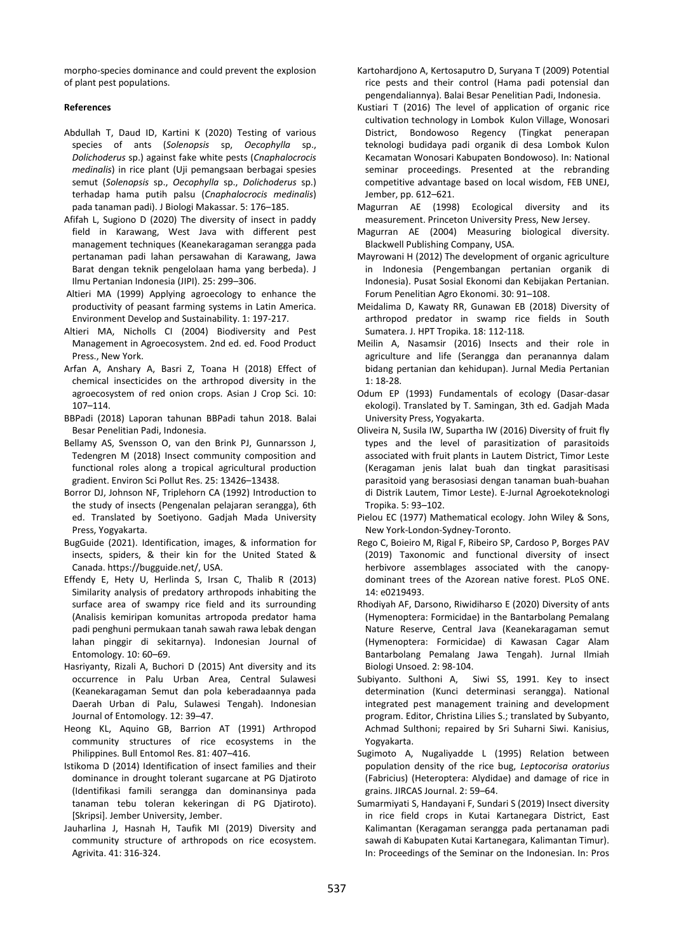morpho-species dominance and could prevent the explosion of plant pest populations.

## **References**

- Abdullah T, Daud ID, Kartini K (2020) Testing of various species of ants (*Solenopsis* sp, *Oecophylla* sp., *Dolichoderus* sp.) against fake white pests (*Cnaphalocrocis medinalis*) in rice plant (Uji pemangsaan berbagai spesies semut (*Solenopsis* sp., *Oecophylla* sp., *Dolichoderus* sp.) terhadap hama putih palsu (*Cnaphalocrocis medinalis*) pada tanaman padi). J Biologi Makassar. 5: 176–185.
- Afifah L, Sugiono D (2020) The diversity of insect in paddy field in Karawang, West Java with different pest management techniques (Keanekaragaman serangga pada pertanaman padi lahan persawahan di Karawang, Jawa Barat dengan teknik pengelolaan hama yang berbeda). J Ilmu Pertanian Indonesia (JIPI). 25: 299–306.
- Altieri MA (1999) Applying agroecology to enhance the productivity of peasant farming systems in Latin America. Environment Develop and Sustainability. 1: 197-217.
- Altieri MA, Nicholls CI (2004) Biodiversity and Pest Management in Agroecosystem. 2nd ed. ed. Food Product Press., New York.
- Arfan A, Anshary A, Basri Z, Toana H (2018) Effect of chemical insecticides on the arthropod diversity in the agroecosystem of red onion crops. Asian J Crop Sci. 10: 107–114.
- BBPadi (2018) Laporan tahunan BBPadi tahun 2018. Balai Besar Penelitian Padi, Indonesia.
- Bellamy AS, Svensson O, van den Brink PJ, Gunnarsson J, Tedengren M (2018) Insect community composition and functional roles along a tropical agricultural production gradient. Environ Sci Pollut Res. 25: 13426–13438.
- Borror DJ, Johnson NF, Triplehorn CA (1992) Introduction to the study of insects (Pengenalan pelajaran serangga), 6th ed. Translated by Soetiyono. Gadjah Mada University Press, Yogyakarta.
- BugGuide (2021). Identification, images, & information for insects, spiders, & their kin for the United Stated & Canada. https://bugguide.net/, USA.
- Effendy E, Hety U, Herlinda S, Irsan C, Thalib R (2013) Similarity analysis of predatory arthropods inhabiting the surface area of swampy rice field and its surrounding (Analisis kemiripan komunitas artropoda predator hama padi penghuni permukaan tanah sawah rawa lebak dengan lahan pinggir di sekitarnya). Indonesian Journal of Entomology. 10: 60–69.
- Hasriyanty, Rizali A, Buchori D (2015) Ant diversity and its occurrence in Palu Urban Area, Central Sulawesi (Keanekaragaman Semut dan pola keberadaannya pada Daerah Urban di Palu, Sulawesi Tengah). Indonesian Journal of Entomology. 12: 39–47.
- Heong KL, Aquino GB, Barrion AT (1991) Arthropod community structures of rice ecosystems in the Philippines. Bull Entomol Res. 81: 407–416.
- Istikoma D (2014) Identification of insect families and their dominance in drought tolerant sugarcane at PG Djatiroto (Identifikasi famili serangga dan dominansinya pada tanaman tebu toleran kekeringan di PG Djatiroto). [Skripsi]. Jember University, Jember.
- Jauharlina J, Hasnah H, Taufik MI (2019) Diversity and community structure of arthropods on rice ecosystem. Agrivita. 41: 316-324.
- Kartohardjono A, Kertosaputro D, Suryana T (2009) Potential rice pests and their control (Hama padi potensial dan pengendaliannya). Balai Besar Penelitian Padi, Indonesia.
- Kustiari T (2016) The level of application of organic rice cultivation technology in Lombok Kulon Village, Wonosari District, Bondowoso Regency (Tingkat penerapan teknologi budidaya padi organik di desa Lombok Kulon Kecamatan Wonosari Kabupaten Bondowoso). In: National seminar proceedings. Presented at the rebranding competitive advantage based on local wisdom, FEB UNEJ, Jember, pp. 612–621.
- Magurran AE (1998) Ecological diversity and its measurement. Princeton University Press, New Jersey.
- Magurran AE (2004) Measuring biological diversity. Blackwell Publishing Company, USA.
- Mayrowani H (2012) The development of organic agriculture in Indonesia (Pengembangan pertanian organik di Indonesia). Pusat Sosial Ekonomi dan Kebijakan Pertanian. Forum Penelitian Agro Ekonomi. 30: 91–108.
- Meidalima D, Kawaty RR, Gunawan EB (2018) Diversity of arthropod predator in swamp rice fields in South Sumatera. J. HPT Tropika. 18: 112-118*.*
- Meilin A, Nasamsir (2016) Insects and their role in agriculture and life (Serangga dan peranannya dalam bidang pertanian dan kehidupan). Jurnal Media Pertanian  $1: 18-28.$
- Odum EP (1993) Fundamentals of ecology (Dasar-dasar ekologi). Translated by T. Samingan, 3th ed. Gadjah Mada University Press, Yogyakarta.
- Oliveira N, Susila IW, Supartha IW (2016) Diversity of fruit fly types and the level of parasitization of parasitoids associated with fruit plants in Lautem District, Timor Leste (Keragaman jenis lalat buah dan tingkat parasitisasi parasitoid yang berasosiasi dengan tanaman buah-buahan di Distrik Lautem, Timor Leste). E-Jurnal Agroekoteknologi Tropika. 5: 93–102.
- Pielou EC (1977) Mathematical ecology. John Wiley & Sons, New York-London-Sydney-Toronto.
- Rego C, Boieiro M, Rigal F, Ribeiro SP, Cardoso P, Borges PAV (2019) Taxonomic and functional diversity of insect herbivore assemblages associated with the canopydominant trees of the Azorean native forest. PLoS ONE. 14: e0219493.
- Rhodiyah AF, Darsono, Riwidiharso E (2020) Diversity of ants (Hymenoptera: Formicidae) in the Bantarbolang Pemalang Nature Reserve, Central Java (Keanekaragaman semut (Hymenoptera: Formicidae) di Kawasan Cagar Alam Bantarbolang Pemalang Jawa Tengah). Jurnal Ilmiah Biologi Unsoed. 2: 98-104.
- Subiyanto. Sulthoni A, Siwi SS, 1991. Key to insect determination (Kunci determinasi serangga). National integrated pest management training and development program. Editor, Christina Lilies S.; translated by Subyanto, Achmad Sulthoni; repaired by Sri Suharni Siwi. Kanisius, Yogyakarta.
- Sugimoto A, Nugaliyadde L (1995) Relation between population density of the rice bug, *Leptocorisa oratorius* (Fabricius) (Heteroptera: Alydidae) and damage of rice in grains. JIRCAS Journal. 2: 59–64.
- Sumarmiyati S, Handayani F, Sundari S (2019) Insect diversity in rice field crops in Kutai Kartanegara District, East Kalimantan (Keragaman serangga pada pertanaman padi sawah di Kabupaten Kutai Kartanegara, Kalimantan Timur). In: Proceedings of the Seminar on the Indonesian. In: Pros